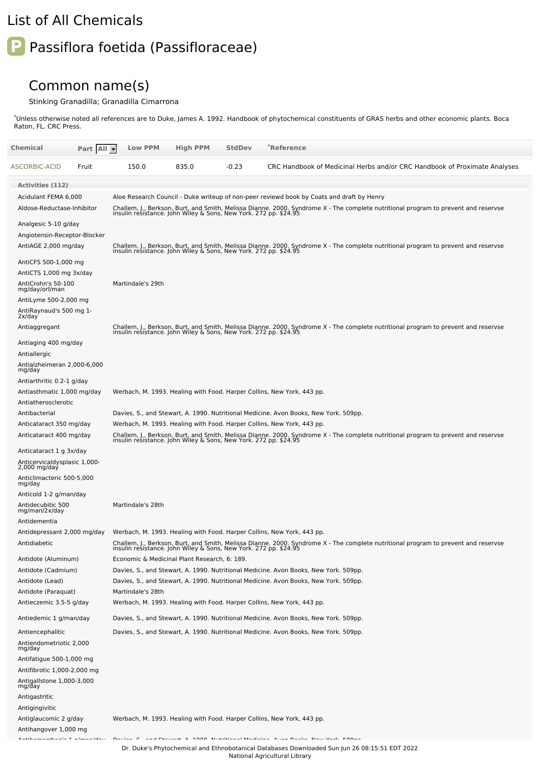## List of All Chemicals

## **P** Passiflora foetida (Passifloraceae)

## Common name(s)

## Stinking Granadilla; Granadilla Cimarrona

\*Unless otherwise noted all references are to Duke, James A. 1992. Handbook of phytochemical constituents of GRAS herbs and other economic plants. Boca Raton, FL. CRC Press.

| Chemical                                                           | Part All  | <b>Low PPM</b>                                                                                                                                                                                         | <b>High PPM</b>                                                                  | <b>StdDev</b>                                                                                                                                                                                                                                                                                                                                                                                                                                                                         | *Reference                                                                                                                                                                                             |  |  |  |  |  |
|--------------------------------------------------------------------|-----------|--------------------------------------------------------------------------------------------------------------------------------------------------------------------------------------------------------|----------------------------------------------------------------------------------|---------------------------------------------------------------------------------------------------------------------------------------------------------------------------------------------------------------------------------------------------------------------------------------------------------------------------------------------------------------------------------------------------------------------------------------------------------------------------------------|--------------------------------------------------------------------------------------------------------------------------------------------------------------------------------------------------------|--|--|--|--|--|
| ASCORBIC-ACID                                                      | Fruit     | 150.0                                                                                                                                                                                                  | 835.0                                                                            | $-0.23$                                                                                                                                                                                                                                                                                                                                                                                                                                                                               | CRC Handbook of Medicinal Herbs and/or CRC Handbook of Proximate Analyses                                                                                                                              |  |  |  |  |  |
| <b>Activities (112)</b>                                            |           |                                                                                                                                                                                                        |                                                                                  |                                                                                                                                                                                                                                                                                                                                                                                                                                                                                       |                                                                                                                                                                                                        |  |  |  |  |  |
| Acidulant FEMA 6,000                                               |           |                                                                                                                                                                                                        |                                                                                  |                                                                                                                                                                                                                                                                                                                                                                                                                                                                                       | Aloe Research Council - Duke writeup of non-peer reviewd book by Coats and draft by Henry                                                                                                              |  |  |  |  |  |
| Aldose-Reductase-Inhibitor                                         |           |                                                                                                                                                                                                        |                                                                                  |                                                                                                                                                                                                                                                                                                                                                                                                                                                                                       | Challem, J., Berkson, Burt, and Smith, Melissa Dianne. 2000. Syndrome X - The complete nutritional program to prevent and reservse<br>insulin resistance. John Wiley & Sons, New York. 272 pp. \$24.95 |  |  |  |  |  |
| Analgesic 5-10 g/day                                               |           |                                                                                                                                                                                                        |                                                                                  |                                                                                                                                                                                                                                                                                                                                                                                                                                                                                       |                                                                                                                                                                                                        |  |  |  |  |  |
| Angiotensin-Receptor-Blocker                                       |           |                                                                                                                                                                                                        |                                                                                  |                                                                                                                                                                                                                                                                                                                                                                                                                                                                                       |                                                                                                                                                                                                        |  |  |  |  |  |
| AntiAGE 2,000 mg/day                                               |           | Challem, J., Berkson, Burt, and Smith, Melissa Dianne. 2000. Syndrome X - The complete nutritional program to prevent and reservse<br>insulin resistance. John Wiley & Sons, New York. 272 pp. \$24.95 |                                                                                  |                                                                                                                                                                                                                                                                                                                                                                                                                                                                                       |                                                                                                                                                                                                        |  |  |  |  |  |
| AntiCFS 500-1,000 mg                                               |           |                                                                                                                                                                                                        |                                                                                  |                                                                                                                                                                                                                                                                                                                                                                                                                                                                                       |                                                                                                                                                                                                        |  |  |  |  |  |
| AntiCTS 1,000 mg 3x/day                                            |           |                                                                                                                                                                                                        |                                                                                  |                                                                                                                                                                                                                                                                                                                                                                                                                                                                                       |                                                                                                                                                                                                        |  |  |  |  |  |
| AntiCrohn's 50-100<br>mg/day/orl/man                               |           | Martindale's 29th                                                                                                                                                                                      |                                                                                  |                                                                                                                                                                                                                                                                                                                                                                                                                                                                                       |                                                                                                                                                                                                        |  |  |  |  |  |
| AntiLyme 500-2,000 mg                                              |           |                                                                                                                                                                                                        |                                                                                  |                                                                                                                                                                                                                                                                                                                                                                                                                                                                                       |                                                                                                                                                                                                        |  |  |  |  |  |
| AntiRaynaud's 500 mg 1-<br>2x/day                                  |           |                                                                                                                                                                                                        |                                                                                  |                                                                                                                                                                                                                                                                                                                                                                                                                                                                                       |                                                                                                                                                                                                        |  |  |  |  |  |
| Antiaggregant                                                      |           |                                                                                                                                                                                                        |                                                                                  |                                                                                                                                                                                                                                                                                                                                                                                                                                                                                       | Challem, J., Berkson, Burt, and Smith, Melissa Dianne. 2000. Syndrome X - The complete nutritional program to prevent and reservse<br>insulin resistance. John Wiley & Sons, New York. 272 pp. \$24.95 |  |  |  |  |  |
| Antiaging 400 mg/day                                               |           |                                                                                                                                                                                                        |                                                                                  |                                                                                                                                                                                                                                                                                                                                                                                                                                                                                       |                                                                                                                                                                                                        |  |  |  |  |  |
| Antiallergic                                                       |           |                                                                                                                                                                                                        |                                                                                  |                                                                                                                                                                                                                                                                                                                                                                                                                                                                                       |                                                                                                                                                                                                        |  |  |  |  |  |
| Antialzheimeran 2,000-6,000<br>mg/day                              |           |                                                                                                                                                                                                        |                                                                                  |                                                                                                                                                                                                                                                                                                                                                                                                                                                                                       |                                                                                                                                                                                                        |  |  |  |  |  |
| Antiarthritic 0.2-1 g/day                                          |           |                                                                                                                                                                                                        |                                                                                  |                                                                                                                                                                                                                                                                                                                                                                                                                                                                                       |                                                                                                                                                                                                        |  |  |  |  |  |
| Antiasthmatic 1,000 mg/day                                         |           |                                                                                                                                                                                                        |                                                                                  |                                                                                                                                                                                                                                                                                                                                                                                                                                                                                       | Werbach, M. 1993. Healing with Food. Harper Collins, New York, 443 pp.                                                                                                                                 |  |  |  |  |  |
| Antiatherosclerotic                                                |           |                                                                                                                                                                                                        |                                                                                  |                                                                                                                                                                                                                                                                                                                                                                                                                                                                                       |                                                                                                                                                                                                        |  |  |  |  |  |
| Antibacterial                                                      |           |                                                                                                                                                                                                        |                                                                                  |                                                                                                                                                                                                                                                                                                                                                                                                                                                                                       | Davies, S., and Stewart, A. 1990. Nutritional Medicine. Avon Books, New York. 509pp.                                                                                                                   |  |  |  |  |  |
| Anticataract 350 mg/day                                            |           |                                                                                                                                                                                                        |                                                                                  |                                                                                                                                                                                                                                                                                                                                                                                                                                                                                       | Werbach, M. 1993. Healing with Food. Harper Collins, New York, 443 pp.                                                                                                                                 |  |  |  |  |  |
| Anticataract 400 mg/day                                            |           |                                                                                                                                                                                                        |                                                                                  |                                                                                                                                                                                                                                                                                                                                                                                                                                                                                       | Challem, J., Berkson, Burt, and Smith, Melissa Dianne. 2000. Syndrome X - The complete nutritional program to prevent and reservse<br>insulin resistance. John Wiley & Sons, New York. 272 pp. \$24.95 |  |  |  |  |  |
| Anticataract 1 g 3x/day                                            |           |                                                                                                                                                                                                        |                                                                                  |                                                                                                                                                                                                                                                                                                                                                                                                                                                                                       |                                                                                                                                                                                                        |  |  |  |  |  |
| Anticervicaldysplasic 1,000-<br>2,000 mg/day                       |           |                                                                                                                                                                                                        |                                                                                  |                                                                                                                                                                                                                                                                                                                                                                                                                                                                                       |                                                                                                                                                                                                        |  |  |  |  |  |
| Anticlimacteric 500-5,000<br>mg/day                                |           |                                                                                                                                                                                                        |                                                                                  |                                                                                                                                                                                                                                                                                                                                                                                                                                                                                       |                                                                                                                                                                                                        |  |  |  |  |  |
| Anticold 1-2 g/man/day                                             |           |                                                                                                                                                                                                        |                                                                                  |                                                                                                                                                                                                                                                                                                                                                                                                                                                                                       |                                                                                                                                                                                                        |  |  |  |  |  |
| Antidecubitic 500<br>mg/man/2x/day                                 |           | Martindale's 28th                                                                                                                                                                                      |                                                                                  |                                                                                                                                                                                                                                                                                                                                                                                                                                                                                       |                                                                                                                                                                                                        |  |  |  |  |  |
| Antidementia                                                       |           |                                                                                                                                                                                                        |                                                                                  |                                                                                                                                                                                                                                                                                                                                                                                                                                                                                       |                                                                                                                                                                                                        |  |  |  |  |  |
| Antidepressant 2,000 mg/day                                        |           |                                                                                                                                                                                                        |                                                                                  |                                                                                                                                                                                                                                                                                                                                                                                                                                                                                       | Werbach, M. 1993. Healing with Food. Harper Collins, New York, 443 pp.                                                                                                                                 |  |  |  |  |  |
| Antidiabetic                                                       |           |                                                                                                                                                                                                        | insulin resistance. John Wiley & Sons, New York. 272 pp. \$24.95                 |                                                                                                                                                                                                                                                                                                                                                                                                                                                                                       | Challem, J., Berkson, Burt, and Smith, Melissa Dianne. 2000. Syndrome X - The complete nutritional program to prevent and reservse                                                                     |  |  |  |  |  |
| Antidote (Aluminum)                                                |           |                                                                                                                                                                                                        | Economic & Medicinal Plant Research, 6: 189.                                     |                                                                                                                                                                                                                                                                                                                                                                                                                                                                                       |                                                                                                                                                                                                        |  |  |  |  |  |
| Antidote (Cadmium)                                                 |           |                                                                                                                                                                                                        |                                                                                  |                                                                                                                                                                                                                                                                                                                                                                                                                                                                                       | Davies, S., and Stewart, A. 1990. Nutritional Medicine. Avon Books, New York. 509pp.                                                                                                                   |  |  |  |  |  |
| Antidote (Lead)                                                    |           |                                                                                                                                                                                                        |                                                                                  |                                                                                                                                                                                                                                                                                                                                                                                                                                                                                       | Davies, S., and Stewart, A. 1990. Nutritional Medicine. Avon Books, New York. 509pp.                                                                                                                   |  |  |  |  |  |
| Antidote (Paraquat)<br>Antieczemic 3.5-5 g/day                     |           | Martindale's 28th                                                                                                                                                                                      |                                                                                  |                                                                                                                                                                                                                                                                                                                                                                                                                                                                                       | Werbach, M. 1993. Healing with Food. Harper Collins, New York, 443 pp.                                                                                                                                 |  |  |  |  |  |
| Antiedemic 1 g/man/day                                             |           |                                                                                                                                                                                                        |                                                                                  |                                                                                                                                                                                                                                                                                                                                                                                                                                                                                       | Davies, S., and Stewart, A. 1990. Nutritional Medicine. Avon Books, New York. 509pp.                                                                                                                   |  |  |  |  |  |
|                                                                    |           |                                                                                                                                                                                                        |                                                                                  |                                                                                                                                                                                                                                                                                                                                                                                                                                                                                       |                                                                                                                                                                                                        |  |  |  |  |  |
| Antiencephalitic                                                   |           |                                                                                                                                                                                                        |                                                                                  |                                                                                                                                                                                                                                                                                                                                                                                                                                                                                       | Davies, S., and Stewart, A. 1990. Nutritional Medicine. Avon Books, New York. 509pp.                                                                                                                   |  |  |  |  |  |
| Antiendometriotic 2,000<br>mg/day                                  |           |                                                                                                                                                                                                        |                                                                                  |                                                                                                                                                                                                                                                                                                                                                                                                                                                                                       |                                                                                                                                                                                                        |  |  |  |  |  |
| Antifatigue 500-1,000 mg                                           |           |                                                                                                                                                                                                        |                                                                                  |                                                                                                                                                                                                                                                                                                                                                                                                                                                                                       |                                                                                                                                                                                                        |  |  |  |  |  |
| Antifibrotic 1,000-2,000 mg<br>Antigallstone 1,000-3,000<br>mg/day |           |                                                                                                                                                                                                        |                                                                                  |                                                                                                                                                                                                                                                                                                                                                                                                                                                                                       |                                                                                                                                                                                                        |  |  |  |  |  |
| Antigastritic                                                      |           |                                                                                                                                                                                                        |                                                                                  |                                                                                                                                                                                                                                                                                                                                                                                                                                                                                       |                                                                                                                                                                                                        |  |  |  |  |  |
| Antigingivitic                                                     |           |                                                                                                                                                                                                        |                                                                                  |                                                                                                                                                                                                                                                                                                                                                                                                                                                                                       |                                                                                                                                                                                                        |  |  |  |  |  |
| Antiglaucomic 2 g/day                                              |           |                                                                                                                                                                                                        |                                                                                  |                                                                                                                                                                                                                                                                                                                                                                                                                                                                                       | Werbach, M. 1993. Healing with Food. Harper Collins, New York, 443 pp.                                                                                                                                 |  |  |  |  |  |
| Antihangover 1,000 mg                                              |           |                                                                                                                                                                                                        |                                                                                  |                                                                                                                                                                                                                                                                                                                                                                                                                                                                                       |                                                                                                                                                                                                        |  |  |  |  |  |
| $\mathbf{r}$ and $\mathbf{r}$<br>contract to the contract          | $\sim$ 1. | .                                                                                                                                                                                                      | $\mathbf{r}$ and $\mathbf{r}$ and $\mathbf{r}$ and $\mathbf{r}$ and $\mathbf{r}$ | $\mathbf{1} \cdot \mathbf{1} \cdot \mathbf{1} \cdot \mathbf{1} \cdot \mathbf{1} \cdot \mathbf{1} \cdot \mathbf{1} \cdot \mathbf{1} \cdot \mathbf{1} \cdot \mathbf{1} \cdot \mathbf{1} \cdot \mathbf{1} \cdot \mathbf{1} \cdot \mathbf{1} \cdot \mathbf{1} \cdot \mathbf{1} \cdot \mathbf{1} \cdot \mathbf{1} \cdot \mathbf{1} \cdot \mathbf{1} \cdot \mathbf{1} \cdot \mathbf{1} \cdot \mathbf{1} \cdot \mathbf{1} \cdot \mathbf{1} \cdot \mathbf{1} \cdot \mathbf{1} \cdot \mathbf{$ | <b>THE REPORT OF START</b>                                                                                                                                                                             |  |  |  |  |  |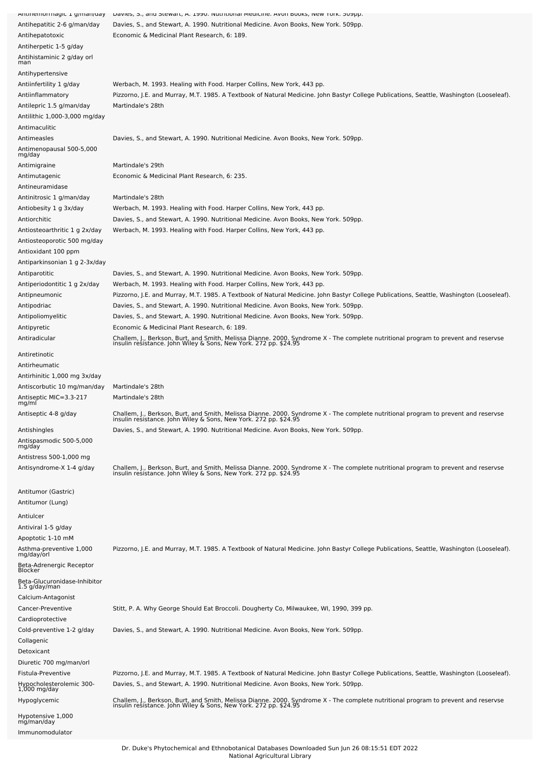| Antinemonnagic 1 g/man/uay               | Davies, 5., and Stewart, A. 1990. Nuthtional medicine. Avon Dooks, New Tork. Subpp.                                                                                                                    |
|------------------------------------------|--------------------------------------------------------------------------------------------------------------------------------------------------------------------------------------------------------|
| Antihepatitic 2-6 g/man/day              | Davies, S., and Stewart, A. 1990. Nutritional Medicine. Avon Books, New York. 509pp.                                                                                                                   |
| Antihepatotoxic                          | Economic & Medicinal Plant Research, 6: 189.                                                                                                                                                           |
| Antiherpetic 1-5 g/day                   |                                                                                                                                                                                                        |
|                                          |                                                                                                                                                                                                        |
| Antihistaminic 2 g/day orl<br>man        |                                                                                                                                                                                                        |
| Antihypertensive                         |                                                                                                                                                                                                        |
|                                          |                                                                                                                                                                                                        |
| Antiinfertility 1 g/day                  | Werbach, M. 1993. Healing with Food. Harper Collins, New York, 443 pp.                                                                                                                                 |
| Antiinflammatory                         | Pizzorno, J.E. and Murray, M.T. 1985. A Textbook of Natural Medicine. John Bastyr College Publications, Seattle, Washington (Looseleaf).                                                               |
| Antilepric 1.5 g/man/day                 | Martindale's 28th                                                                                                                                                                                      |
| Antilithic 1,000-3,000 mg/day            |                                                                                                                                                                                                        |
| Antimaculitic                            |                                                                                                                                                                                                        |
| Antimeasles                              | Davies, S., and Stewart, A. 1990. Nutritional Medicine. Avon Books, New York. 509pp.                                                                                                                   |
| Antimenopausal 500-5,000                 |                                                                                                                                                                                                        |
| mg/day                                   |                                                                                                                                                                                                        |
| Antimigraine                             | Martindale's 29th                                                                                                                                                                                      |
| Antimutagenic                            | Economic & Medicinal Plant Research, 6: 235.                                                                                                                                                           |
|                                          |                                                                                                                                                                                                        |
| Antineuramidase                          |                                                                                                                                                                                                        |
| Antinitrosic 1 g/man/day                 | Martindale's 28th                                                                                                                                                                                      |
| Antiobesity 1 g 3x/day                   | Werbach, M. 1993. Healing with Food. Harper Collins, New York, 443 pp.                                                                                                                                 |
| Antiorchitic                             | Davies, S., and Stewart, A. 1990. Nutritional Medicine. Avon Books, New York. 509pp.                                                                                                                   |
| Antiosteoarthritic 1 g 2x/day            | Werbach, M. 1993. Healing with Food. Harper Collins, New York, 443 pp.                                                                                                                                 |
| Antiosteoporotic 500 mg/day              |                                                                                                                                                                                                        |
| Antioxidant 100 ppm                      |                                                                                                                                                                                                        |
|                                          |                                                                                                                                                                                                        |
| Antiparkinsonian 1 g 2-3x/day            |                                                                                                                                                                                                        |
| Antiparotitic                            | Davies, S., and Stewart, A. 1990. Nutritional Medicine. Avon Books, New York. 509pp.                                                                                                                   |
| Antiperiodontitic 1 g 2x/day             | Werbach, M. 1993. Healing with Food. Harper Collins, New York, 443 pp.                                                                                                                                 |
| Antipneumonic                            | Pizzorno, J.E. and Murray, M.T. 1985. A Textbook of Natural Medicine. John Bastyr College Publications, Seattle, Washington (Looseleaf).                                                               |
| Antipodriac                              | Davies, S., and Stewart, A. 1990. Nutritional Medicine. Avon Books, New York. 509pp.                                                                                                                   |
| Antipoliomyelitic                        | Davies, S., and Stewart, A. 1990. Nutritional Medicine. Avon Books, New York. 509pp.                                                                                                                   |
|                                          |                                                                                                                                                                                                        |
| Antipyretic                              | Economic & Medicinal Plant Research, 6: 189.                                                                                                                                                           |
| Antiradicular                            | Challem, J., Berkson, Burt, and Smith, Melissa Dianne. 2000. Syndrome X - The complete nutritional program to prevent and reservse<br>insulin resistance. John Wiley & Sons, New York. 272 pp. \$24.95 |
|                                          |                                                                                                                                                                                                        |
| Antiretinotic                            |                                                                                                                                                                                                        |
| Antirheumatic                            |                                                                                                                                                                                                        |
| Antirhinitic 1,000 mg 3x/day             |                                                                                                                                                                                                        |
| Antiscorbutic 10 mg/man/day              | Martindale's 28th                                                                                                                                                                                      |
| Antiseptic MIC=3.3-217                   | Martindale's 28th                                                                                                                                                                                      |
| mg/ml                                    |                                                                                                                                                                                                        |
| Antiseptic 4-8 g/day                     | Challem, J., Berkson, Burt, and Smith, Melissa Dianne. 2000. Syndrome X - The complete nutritional program to prevent and reservse<br>insulin resistance. John Wiley & Sons, New York. 272 pp. \$24.9  |
|                                          |                                                                                                                                                                                                        |
| Antishingles                             | Davies, S., and Stewart, A. 1990. Nutritional Medicine. Avon Books, New York. 509pp.                                                                                                                   |
| Antispasmodic 500-5,000<br>mg/day        |                                                                                                                                                                                                        |
|                                          |                                                                                                                                                                                                        |
| Antistress 500-1,000 mg                  |                                                                                                                                                                                                        |
| Antisyndrome-X 1-4 g/day                 | Challem, J., Berkson, Burt, and Smith, Melissa Dianne. 2000. Syndrome X - The complete nutritional program to prevent and reservse<br>insulin resistance. John Wiley & Sons, New York. 272 pp. \$24.95 |
|                                          |                                                                                                                                                                                                        |
| Antitumor (Gastric)                      |                                                                                                                                                                                                        |
| Antitumor (Lung)                         |                                                                                                                                                                                                        |
|                                          |                                                                                                                                                                                                        |
| Antiulcer                                |                                                                                                                                                                                                        |
| Antiviral 1-5 g/day                      |                                                                                                                                                                                                        |
| Apoptotic 1-10 mM                        |                                                                                                                                                                                                        |
| Asthma-preventive 1,000                  | Pizzorno, J.E. and Murray, M.T. 1985. A Textbook of Natural Medicine. John Bastyr College Publications, Seattle, Washington (Looseleaf).                                                               |
| mg/day/orl                               |                                                                                                                                                                                                        |
|                                          |                                                                                                                                                                                                        |
| Beta-Adrenergic Receptor<br>Blocker      |                                                                                                                                                                                                        |
| Beta-Glucuronidase-Inhibitor             |                                                                                                                                                                                                        |
| 1.5 g/day/man                            |                                                                                                                                                                                                        |
| Calcium-Antagonist                       |                                                                                                                                                                                                        |
|                                          |                                                                                                                                                                                                        |
| Cancer-Preventive                        | Stitt, P. A. Why George Should Eat Broccoli. Dougherty Co, Milwaukee, WI, 1990, 399 pp.                                                                                                                |
| Cardioprotective                         |                                                                                                                                                                                                        |
|                                          |                                                                                                                                                                                                        |
| Cold-preventive 1-2 g/day                | Davies, S., and Stewart, A. 1990. Nutritional Medicine. Avon Books, New York. 509pp.                                                                                                                   |
| Collagenic                               |                                                                                                                                                                                                        |
| Detoxicant                               |                                                                                                                                                                                                        |
| Diuretic 700 mg/man/orl                  |                                                                                                                                                                                                        |
| Fistula-Preventive                       | Pizzorno, J.E. and Murray, M.T. 1985. A Textbook of Natural Medicine. John Bastyr College Publications, Seattle, Washington (Looseleaf).                                                               |
|                                          | Davies, S., and Stewart, A. 1990. Nutritional Medicine. Avon Books, New York. 509pp.                                                                                                                   |
| Hypocholesterolemic 300-<br>1,000 mg/day |                                                                                                                                                                                                        |
| Hypoglycemic                             |                                                                                                                                                                                                        |
|                                          | Challem, J., Berkson, Burt, and Smith, Melissa Dianne. 2000. Syndrome X - The complete nutritional program to prevent and reservse<br>insulin resistance. John Wiley & Sons, New York. 272 pp. \$24.95 |
| Hypotensive 1,000<br>mg/man/day          |                                                                                                                                                                                                        |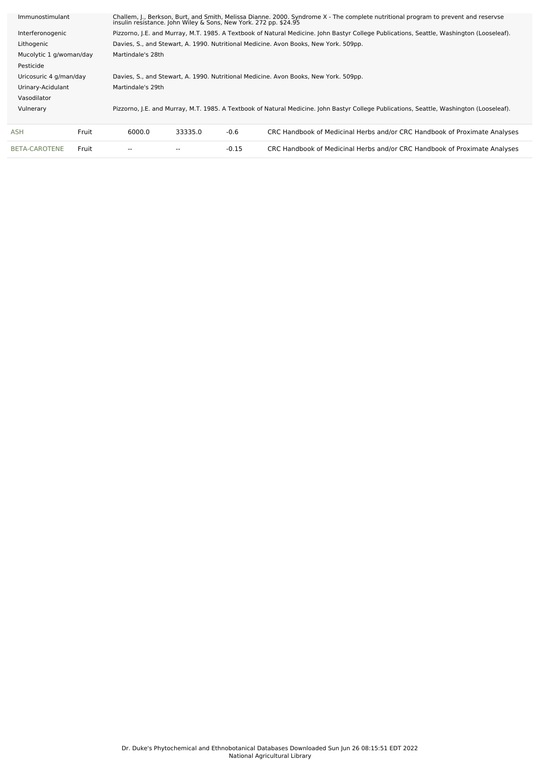| Immunostimulant         |       | Challem, J., Berkson, Burt, and Smith, Melissa Dianne. 2000. Syndrome X - The complete nutritional program to prevent and reservse<br>insulin resistance. John Wiley & Sons, New York. 272 pp. \$24.95 |         |         |                                                                           |  |  |  |  |
|-------------------------|-------|--------------------------------------------------------------------------------------------------------------------------------------------------------------------------------------------------------|---------|---------|---------------------------------------------------------------------------|--|--|--|--|
| Interferonogenic        |       | Pizzorno, J.E. and Murray, M.T. 1985. A Textbook of Natural Medicine. John Bastyr College Publications, Seattle, Washington (Looseleaf).                                                               |         |         |                                                                           |  |  |  |  |
| Lithogenic              |       | Davies, S., and Stewart, A. 1990. Nutritional Medicine. Avon Books, New York. 509pp.                                                                                                                   |         |         |                                                                           |  |  |  |  |
| Mucolytic 1 g/woman/day |       | Martindale's 28th                                                                                                                                                                                      |         |         |                                                                           |  |  |  |  |
| Pesticide               |       |                                                                                                                                                                                                        |         |         |                                                                           |  |  |  |  |
| Uricosuric 4 g/man/day  |       | Davies, S., and Stewart, A. 1990. Nutritional Medicine. Avon Books, New York. 509pp.                                                                                                                   |         |         |                                                                           |  |  |  |  |
| Urinary-Acidulant       |       | Martindale's 29th                                                                                                                                                                                      |         |         |                                                                           |  |  |  |  |
| Vasodilator             |       |                                                                                                                                                                                                        |         |         |                                                                           |  |  |  |  |
| Vulnerary               |       | Pizzorno, J.E. and Murray, M.T. 1985. A Textbook of Natural Medicine. John Bastyr College Publications, Seattle, Washington (Looseleaf).                                                               |         |         |                                                                           |  |  |  |  |
|                         |       |                                                                                                                                                                                                        |         |         |                                                                           |  |  |  |  |
| ASH                     | Fruit | 6000.0                                                                                                                                                                                                 | 33335.0 | $-0.6$  | CRC Handbook of Medicinal Herbs and/or CRC Handbook of Proximate Analyses |  |  |  |  |
| BETA-CAROTENE           | Fruit |                                                                                                                                                                                                        |         | $-0.15$ | CRC Handbook of Medicinal Herbs and/or CRC Handbook of Proximate Analyses |  |  |  |  |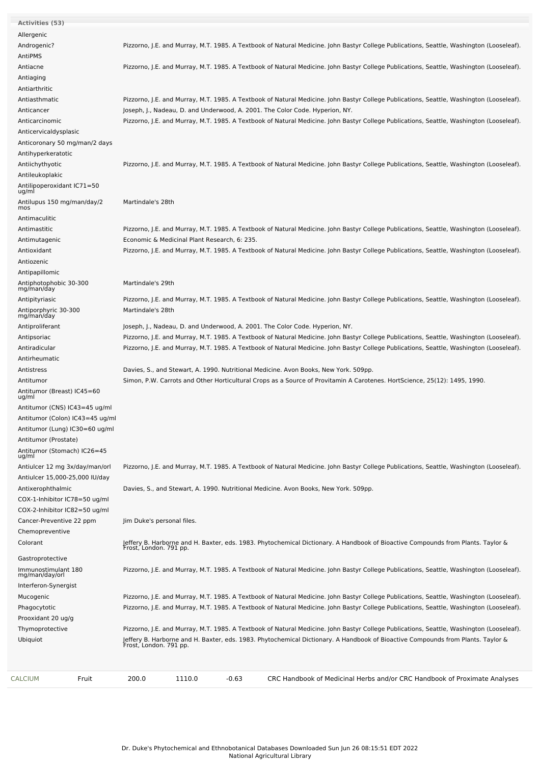| Activities (53)                       |                                                                                                                                                           |
|---------------------------------------|-----------------------------------------------------------------------------------------------------------------------------------------------------------|
| Allergenic                            |                                                                                                                                                           |
| Androgenic?                           | Pizzorno, J.E. and Murray, M.T. 1985. A Textbook of Natural Medicine. John Bastyr College Publications, Seattle, Washington (Looseleaf).                  |
| AntiPMS                               |                                                                                                                                                           |
| Antiacne                              | Pizzorno, J.E. and Murray, M.T. 1985. A Textbook of Natural Medicine. John Bastyr College Publications, Seattle, Washington (Looseleaf).                  |
| Antiaging                             |                                                                                                                                                           |
| Antiarthritic                         |                                                                                                                                                           |
| Antiasthmatic                         | Pizzorno, J.E. and Murray, M.T. 1985. A Textbook of Natural Medicine. John Bastyr College Publications, Seattle, Washington (Looseleaf).                  |
| Anticancer                            | Joseph, J., Nadeau, D. and Underwood, A. 2001. The Color Code. Hyperion, NY.                                                                              |
| Anticarcinomic                        | Pizzorno, J.E. and Murray, M.T. 1985. A Textbook of Natural Medicine. John Bastyr College Publications, Seattle, Washington (Looseleaf).                  |
| Anticervicaldysplasic                 |                                                                                                                                                           |
| Anticoronary 50 mg/man/2 days         |                                                                                                                                                           |
| Antihyperkeratotic                    |                                                                                                                                                           |
| Antiichythyotic                       | Pizzorno, J.E. and Murray, M.T. 1985. A Textbook of Natural Medicine. John Bastyr College Publications, Seattle, Washington (Looseleaf).                  |
| Antileukoplakic                       |                                                                                                                                                           |
| Antilipoperoxidant IC71=50            |                                                                                                                                                           |
| ug/ml                                 |                                                                                                                                                           |
| Antilupus 150 mg/man/day/2<br>mos     | Martindale's 28th                                                                                                                                         |
| Antimaculitic                         |                                                                                                                                                           |
| Antimastitic                          | Pizzorno, J.E. and Murray, M.T. 1985. A Textbook of Natural Medicine. John Bastyr College Publications, Seattle, Washington (Looseleaf).                  |
|                                       |                                                                                                                                                           |
| Antimutagenic                         | Economic & Medicinal Plant Research, 6: 235.                                                                                                              |
| Antioxidant                           | Pizzorno, J.E. and Murray, M.T. 1985. A Textbook of Natural Medicine. John Bastyr College Publications, Seattle, Washington (Looseleaf).                  |
| Antiozenic                            |                                                                                                                                                           |
| Antipapillomic                        |                                                                                                                                                           |
| Antiphotophobic 30-300<br>mg/man/day  | Martindale's 29th                                                                                                                                         |
| Antipityriasic                        | Pizzorno, J.E. and Murray, M.T. 1985. A Textbook of Natural Medicine. John Bastyr College Publications, Seattle, Washington (Looseleaf).                  |
| Antiporphyric 30-300                  | Martindale's 28th                                                                                                                                         |
| mg/man/day                            |                                                                                                                                                           |
| Antiproliferant                       | Joseph, J., Nadeau, D. and Underwood, A. 2001. The Color Code. Hyperion, NY.                                                                              |
| Antipsoriac                           | Pizzorno, J.E. and Murray, M.T. 1985. A Textbook of Natural Medicine. John Bastyr College Publications, Seattle, Washington (Looseleaf).                  |
| Antiradicular                         | Pizzorno, J.E. and Murray, M.T. 1985. A Textbook of Natural Medicine. John Bastyr College Publications, Seattle, Washington (Looseleaf).                  |
| Antirheumatic                         |                                                                                                                                                           |
| Antistress                            | Davies, S., and Stewart, A. 1990. Nutritional Medicine. Avon Books, New York. 509pp.                                                                      |
| Antitumor                             | Simon, P.W. Carrots and Other Horticultural Crops as a Source of Provitamin A Carotenes. HortScience, 25(12): 1495, 1990.                                 |
| Antitumor (Breast) IC45=60<br>ug/ml   |                                                                                                                                                           |
| Antitumor (CNS) IC43=45 ug/ml         |                                                                                                                                                           |
| Antitumor (Colon) IC43=45 ug/ml       |                                                                                                                                                           |
|                                       |                                                                                                                                                           |
| Antitumor (Lung) IC30=60 ug/ml        |                                                                                                                                                           |
| Antitumor (Prostate)                  |                                                                                                                                                           |
| Antitumor (Stomach) IC26=45<br>ug/ml  |                                                                                                                                                           |
| Antiulcer 12 mg 3x/day/man/orl        | Pizzorno, J.E. and Murray, M.T. 1985. A Textbook of Natural Medicine. John Bastyr College Publications, Seattle, Washington (Looseleaf).                  |
| Antiulcer 15,000-25,000 IU/day        |                                                                                                                                                           |
| Antixerophthalmic                     | Davies, S., and Stewart, A. 1990. Nutritional Medicine. Avon Books, New York. 509pp.                                                                      |
| COX-1-Inhibitor IC78=50 ug/ml         |                                                                                                                                                           |
| COX-2-Inhibitor IC82=50 ug/ml         |                                                                                                                                                           |
| Cancer-Preventive 22 ppm              | Jim Duke's personal files.                                                                                                                                |
| Chemopreventive                       |                                                                                                                                                           |
| Colorant                              | Jeffery B. Harborne and H. Baxter, eds. 1983. Phytochemical Dictionary. A Handbook of Bioactive Compounds from Plants. Taylor &                           |
|                                       | Frost, London. 791 pp.                                                                                                                                    |
| Gastroprotective                      |                                                                                                                                                           |
| Immunostimulant 180<br>mg/man/day/orl | Pizzorno, J.E. and Murray, M.T. 1985. A Textbook of Natural Medicine. John Bastyr College Publications, Seattle, Washington (Looseleaf).                  |
| Interferon-Synergist                  |                                                                                                                                                           |
| Mucogenic                             | Pizzorno, J.E. and Murray, M.T. 1985. A Textbook of Natural Medicine. John Bastyr College Publications, Seattle, Washington (Looseleaf).                  |
| Phagocytotic                          | Pizzorno, J.E. and Murray, M.T. 1985. A Textbook of Natural Medicine. John Bastyr College Publications, Seattle, Washington (Looseleaf).                  |
| Prooxidant 20 ug/g                    |                                                                                                                                                           |
|                                       | Pizzorno, J.E. and Murray, M.T. 1985. A Textbook of Natural Medicine. John Bastyr College Publications, Seattle, Washington (Looseleaf).                  |
| Thymoprotective                       |                                                                                                                                                           |
| Ubiquiot                              | Jeffery B. Harborne and H. Baxter, eds. 1983. Phytochemical Dictionary. A Handbook of Bioactive Compounds from Plants. Taylor &<br>Frost, London. 791 pp. |
|                                       |                                                                                                                                                           |
|                                       |                                                                                                                                                           |
| Fruit<br>CALCIUM                      | 200.0<br>1110.0<br>-0.63<br>CRC Handbook of Medicinal Herbs and/or CRC Handbook of Proximate Analyses                                                     |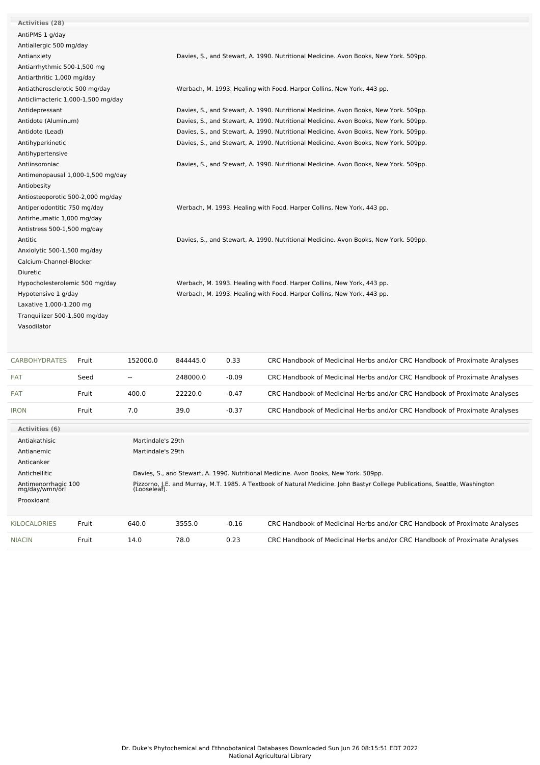| <b>Activities (28)</b>             |       |                                                                                      |                                                                                      |                                                                        |                                                                                                                             |  |  |  |  |
|------------------------------------|-------|--------------------------------------------------------------------------------------|--------------------------------------------------------------------------------------|------------------------------------------------------------------------|-----------------------------------------------------------------------------------------------------------------------------|--|--|--|--|
| AntiPMS 1 g/day                    |       |                                                                                      |                                                                                      |                                                                        |                                                                                                                             |  |  |  |  |
| Antiallergic 500 mg/day            |       |                                                                                      |                                                                                      |                                                                        |                                                                                                                             |  |  |  |  |
| Antianxiety                        |       |                                                                                      |                                                                                      |                                                                        | Davies, S., and Stewart, A. 1990. Nutritional Medicine. Avon Books, New York. 509pp.                                        |  |  |  |  |
| Antiarrhythmic 500-1,500 mg        |       |                                                                                      |                                                                                      |                                                                        |                                                                                                                             |  |  |  |  |
| Antiarthritic 1,000 mg/day         |       |                                                                                      |                                                                                      |                                                                        |                                                                                                                             |  |  |  |  |
| Antiatherosclerotic 500 mg/day     |       |                                                                                      |                                                                                      | Werbach, M. 1993. Healing with Food. Harper Collins, New York, 443 pp. |                                                                                                                             |  |  |  |  |
| Anticlimacteric 1,000-1,500 mg/day |       |                                                                                      |                                                                                      |                                                                        |                                                                                                                             |  |  |  |  |
| Antidepressant                     |       | Davies, S., and Stewart, A. 1990. Nutritional Medicine. Avon Books, New York. 509pp. |                                                                                      |                                                                        |                                                                                                                             |  |  |  |  |
| Antidote (Aluminum)                |       |                                                                                      | Davies, S., and Stewart, A. 1990. Nutritional Medicine. Avon Books, New York. 509pp. |                                                                        |                                                                                                                             |  |  |  |  |
| Antidote (Lead)                    |       |                                                                                      |                                                                                      |                                                                        | Davies, S., and Stewart, A. 1990. Nutritional Medicine. Avon Books, New York. 509pp.                                        |  |  |  |  |
| Antihyperkinetic                   |       |                                                                                      |                                                                                      |                                                                        | Davies, S., and Stewart, A. 1990. Nutritional Medicine. Avon Books, New York. 509pp.                                        |  |  |  |  |
| Antihypertensive                   |       |                                                                                      |                                                                                      |                                                                        |                                                                                                                             |  |  |  |  |
| Antiinsomniac                      |       |                                                                                      |                                                                                      |                                                                        | Davies, S., and Stewart, A. 1990. Nutritional Medicine. Avon Books, New York. 509pp.                                        |  |  |  |  |
| Antimenopausal 1,000-1,500 mg/day  |       |                                                                                      |                                                                                      |                                                                        |                                                                                                                             |  |  |  |  |
| Antiobesity                        |       |                                                                                      |                                                                                      |                                                                        |                                                                                                                             |  |  |  |  |
| Antiosteoporotic 500-2,000 mg/day  |       |                                                                                      |                                                                                      |                                                                        |                                                                                                                             |  |  |  |  |
| Antiperiodontitic 750 mg/day       |       |                                                                                      |                                                                                      |                                                                        | Werbach, M. 1993. Healing with Food. Harper Collins, New York, 443 pp.                                                      |  |  |  |  |
| Antirheumatic 1,000 mg/day         |       |                                                                                      |                                                                                      |                                                                        |                                                                                                                             |  |  |  |  |
| Antistress 500-1,500 mg/day        |       |                                                                                      |                                                                                      |                                                                        |                                                                                                                             |  |  |  |  |
| Antitic                            |       |                                                                                      | Davies, S., and Stewart, A. 1990. Nutritional Medicine. Avon Books, New York. 509pp. |                                                                        |                                                                                                                             |  |  |  |  |
| Anxiolytic 500-1,500 mg/day        |       |                                                                                      |                                                                                      |                                                                        |                                                                                                                             |  |  |  |  |
| Calcium-Channel-Blocker            |       |                                                                                      |                                                                                      |                                                                        |                                                                                                                             |  |  |  |  |
| Diuretic                           |       |                                                                                      |                                                                                      |                                                                        |                                                                                                                             |  |  |  |  |
| Hypocholesterolemic 500 mg/day     |       |                                                                                      |                                                                                      |                                                                        | Werbach, M. 1993. Healing with Food. Harper Collins, New York, 443 pp.                                                      |  |  |  |  |
| Hypotensive 1 g/day                |       |                                                                                      | Werbach, M. 1993. Healing with Food. Harper Collins, New York, 443 pp.               |                                                                        |                                                                                                                             |  |  |  |  |
| Laxative 1,000-1,200 mg            |       |                                                                                      |                                                                                      |                                                                        |                                                                                                                             |  |  |  |  |
| Tranquilizer 500-1,500 mg/day      |       |                                                                                      |                                                                                      |                                                                        |                                                                                                                             |  |  |  |  |
| Vasodilator                        |       |                                                                                      |                                                                                      |                                                                        |                                                                                                                             |  |  |  |  |
|                                    |       |                                                                                      |                                                                                      |                                                                        |                                                                                                                             |  |  |  |  |
|                                    |       |                                                                                      |                                                                                      |                                                                        |                                                                                                                             |  |  |  |  |
| <b>CARBOHYDRATES</b>               | Fruit | 152000.0                                                                             | 844445.0                                                                             | 0.33                                                                   | CRC Handbook of Medicinal Herbs and/or CRC Handbook of Proximate Analyses                                                   |  |  |  |  |
| FAT                                | Seed  | $\overline{\phantom{a}}$                                                             | 248000.0                                                                             | $-0.09$                                                                | CRC Handbook of Medicinal Herbs and/or CRC Handbook of Proximate Analyses                                                   |  |  |  |  |
| FAT                                | Fruit | 400.0                                                                                | 22220.0                                                                              | $-0.47$                                                                | CRC Handbook of Medicinal Herbs and/or CRC Handbook of Proximate Analyses                                                   |  |  |  |  |
| <b>IRON</b>                        | Fruit | 7.0                                                                                  | 39.0                                                                                 | $-0.37$                                                                | CRC Handbook of Medicinal Herbs and/or CRC Handbook of Proximate Analyses                                                   |  |  |  |  |
| <b>Activities (6)</b>              |       |                                                                                      |                                                                                      |                                                                        |                                                                                                                             |  |  |  |  |
| Martindale's 29th<br>Antiakathisic |       |                                                                                      |                                                                                      |                                                                        |                                                                                                                             |  |  |  |  |
| Antianemic<br>Martindale's 29th    |       |                                                                                      |                                                                                      |                                                                        |                                                                                                                             |  |  |  |  |
| Anticanker                         |       |                                                                                      |                                                                                      |                                                                        |                                                                                                                             |  |  |  |  |
| Anticheilitic                      |       |                                                                                      |                                                                                      |                                                                        | Davies, S., and Stewart, A. 1990. Nutritional Medicine. Avon Books, New York. 509pp.                                        |  |  |  |  |
| Antimenorrhagic 100                |       |                                                                                      |                                                                                      |                                                                        | Pizzorno, J.E. and Murray, M.T. 1985. A Textbook of Natural Medicine. John Bastyr College Publications, Seattle, Washington |  |  |  |  |
| mg/day/wmn/orl                     |       | (Looseleaf).                                                                         |                                                                                      |                                                                        |                                                                                                                             |  |  |  |  |

| Prooxidant    |       |       |        |         |                                                                           |
|---------------|-------|-------|--------|---------|---------------------------------------------------------------------------|
| KILOCALORIES  | Fruit | 640.0 | 3555.0 | $-0.16$ | CRC Handbook of Medicinal Herbs and/or CRC Handbook of Proximate Analyses |
| <b>NIACIN</b> | Fruit | 14.0  | 78.0   | 0.23    | CRC Handbook of Medicinal Herbs and/or CRC Handbook of Proximate Analyses |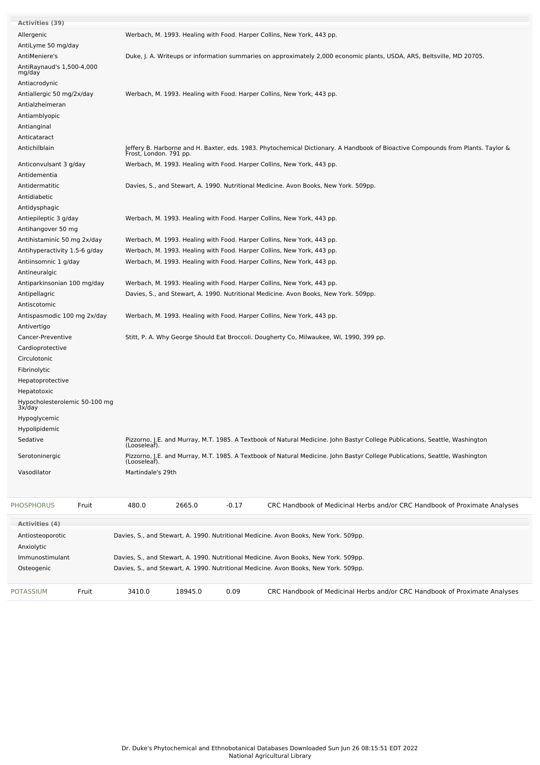| <b>POTASSIUM</b>                                      | Fruit | 3410.0                                                                                                                                                    | 18945.0                                                                | 0.09    | CRC Handbook of Medicinal Herbs and/or CRC Handbook of Proximate Analyses                                                                                                    |  |  |  |  |  |  |
|-------------------------------------------------------|-------|-----------------------------------------------------------------------------------------------------------------------------------------------------------|------------------------------------------------------------------------|---------|------------------------------------------------------------------------------------------------------------------------------------------------------------------------------|--|--|--|--|--|--|
| Immunostimulant<br>Osteogenic                         |       |                                                                                                                                                           |                                                                        |         | Davies, S., and Stewart, A. 1990. Nutritional Medicine. Avon Books, New York. 509pp.<br>Davies, S., and Stewart, A. 1990. Nutritional Medicine. Avon Books, New York. 509pp. |  |  |  |  |  |  |
| Antiosteoporotic<br>Anxiolytic                        |       |                                                                                                                                                           |                                                                        |         | Davies, S., and Stewart, A. 1990. Nutritional Medicine. Avon Books, New York. 509pp.                                                                                         |  |  |  |  |  |  |
| <b>Activities (4)</b>                                 |       |                                                                                                                                                           |                                                                        |         |                                                                                                                                                                              |  |  |  |  |  |  |
| <b>PHOSPHORUS</b>                                     | Fruit | 480.0                                                                                                                                                     | 2665.0                                                                 | $-0.17$ | CRC Handbook of Medicinal Herbs and/or CRC Handbook of Proximate Analyses                                                                                                    |  |  |  |  |  |  |
|                                                       |       |                                                                                                                                                           |                                                                        |         |                                                                                                                                                                              |  |  |  |  |  |  |
| Vasodilator                                           |       | Martindale's 29th                                                                                                                                         |                                                                        |         |                                                                                                                                                                              |  |  |  |  |  |  |
| Serotoninergic                                        |       | (Looseleaf).                                                                                                                                              |                                                                        |         | Pizzorno, J.E. and Murray, M.T. 1985. A Textbook of Natural Medicine. John Bastyr College Publications, Seattle, Washington                                                  |  |  |  |  |  |  |
| Sedative                                              |       | (Looseleaf).                                                                                                                                              |                                                                        |         | Pizzorno, J.E. and Murray, M.T. 1985. A Textbook of Natural Medicine. John Bastyr College Publications, Seattle, Washington                                                  |  |  |  |  |  |  |
| Hypolipidemic                                         |       |                                                                                                                                                           |                                                                        |         |                                                                                                                                                                              |  |  |  |  |  |  |
| Hypoglycemic                                          |       |                                                                                                                                                           |                                                                        |         |                                                                                                                                                                              |  |  |  |  |  |  |
| Hypocholesterolemic 50-100 mg<br>3x/day               |       |                                                                                                                                                           |                                                                        |         |                                                                                                                                                                              |  |  |  |  |  |  |
| Hepatotoxic                                           |       |                                                                                                                                                           |                                                                        |         |                                                                                                                                                                              |  |  |  |  |  |  |
| Hepatoprotective                                      |       |                                                                                                                                                           |                                                                        |         |                                                                                                                                                                              |  |  |  |  |  |  |
| Fibrinolytic                                          |       |                                                                                                                                                           |                                                                        |         |                                                                                                                                                                              |  |  |  |  |  |  |
| Circulotonic                                          |       |                                                                                                                                                           |                                                                        |         |                                                                                                                                                                              |  |  |  |  |  |  |
| Cardioprotective                                      |       |                                                                                                                                                           |                                                                        |         |                                                                                                                                                                              |  |  |  |  |  |  |
| Cancer-Preventive                                     |       |                                                                                                                                                           |                                                                        |         | Stitt, P. A. Why George Should Eat Broccoli. Dougherty Co, Milwaukee, WI, 1990, 399 pp.                                                                                      |  |  |  |  |  |  |
| Antivertigo                                           |       |                                                                                                                                                           |                                                                        |         |                                                                                                                                                                              |  |  |  |  |  |  |
| Antispasmodic 100 mg 2x/day                           |       |                                                                                                                                                           |                                                                        |         | Werbach, M. 1993. Healing with Food. Harper Collins, New York, 443 pp.                                                                                                       |  |  |  |  |  |  |
| Antiscotomic                                          |       |                                                                                                                                                           |                                                                        |         |                                                                                                                                                                              |  |  |  |  |  |  |
| Antipellagric                                         |       | Davies, S., and Stewart, A. 1990. Nutritional Medicine. Avon Books, New York. 509pp.                                                                      |                                                                        |         |                                                                                                                                                                              |  |  |  |  |  |  |
| Antiparkinsonian 100 mg/day                           |       |                                                                                                                                                           |                                                                        |         | Werbach, M. 1993. Healing with Food. Harper Collins, New York, 443 pp.                                                                                                       |  |  |  |  |  |  |
| Antineuralgic                                         |       |                                                                                                                                                           |                                                                        |         |                                                                                                                                                                              |  |  |  |  |  |  |
| Antihyperactivity 1.5-6 g/day<br>Antiinsomnic 1 g/day |       |                                                                                                                                                           |                                                                        |         | Werbach, M. 1993. Healing with Food. Harper Collins, New York, 443 pp.<br>Werbach, M. 1993. Healing with Food. Harper Collins, New York, 443 pp.                             |  |  |  |  |  |  |
| Antihistaminic 50 mg 2x/day                           |       |                                                                                                                                                           |                                                                        |         | Werbach, M. 1993. Healing with Food. Harper Collins, New York, 443 pp.                                                                                                       |  |  |  |  |  |  |
| Antihangover 50 mg                                    |       |                                                                                                                                                           |                                                                        |         |                                                                                                                                                                              |  |  |  |  |  |  |
| Antiepileptic 3 g/day                                 |       |                                                                                                                                                           |                                                                        |         | Werbach, M. 1993. Healing with Food. Harper Collins, New York, 443 pp.                                                                                                       |  |  |  |  |  |  |
| Antidysphagic                                         |       |                                                                                                                                                           |                                                                        |         |                                                                                                                                                                              |  |  |  |  |  |  |
| Antidiabetic                                          |       |                                                                                                                                                           |                                                                        |         |                                                                                                                                                                              |  |  |  |  |  |  |
| Antidermatitic                                        |       |                                                                                                                                                           |                                                                        |         | Davies, S., and Stewart, A. 1990. Nutritional Medicine. Avon Books, New York. 509pp.                                                                                         |  |  |  |  |  |  |
| Antidementia                                          |       |                                                                                                                                                           |                                                                        |         |                                                                                                                                                                              |  |  |  |  |  |  |
| Anticonvulsant 3 g/day                                |       |                                                                                                                                                           | Werbach, M. 1993. Healing with Food. Harper Collins, New York, 443 pp. |         |                                                                                                                                                                              |  |  |  |  |  |  |
| Antichilblain                                         |       | Jeffery B. Harborne and H. Baxter, eds. 1983. Phytochemical Dictionary. A Handbook of Bioactive Compounds from Plants. Taylor &<br>Frost, London. 791 pp. |                                                                        |         |                                                                                                                                                                              |  |  |  |  |  |  |
| Anticataract                                          |       |                                                                                                                                                           |                                                                        |         |                                                                                                                                                                              |  |  |  |  |  |  |
| Antianginal                                           |       |                                                                                                                                                           |                                                                        |         |                                                                                                                                                                              |  |  |  |  |  |  |
| Antiamblyopic                                         |       |                                                                                                                                                           |                                                                        |         |                                                                                                                                                                              |  |  |  |  |  |  |
| Antialzheimeran                                       |       |                                                                                                                                                           |                                                                        |         |                                                                                                                                                                              |  |  |  |  |  |  |
| Antiallergic 50 mg/2x/day                             |       |                                                                                                                                                           |                                                                        |         | Werbach, M. 1993. Healing with Food. Harper Collins, New York, 443 pp.                                                                                                       |  |  |  |  |  |  |
| Antiacrodynic                                         |       |                                                                                                                                                           |                                                                        |         |                                                                                                                                                                              |  |  |  |  |  |  |
| AntiRaynaud's 1,500-4,000<br>mg/day                   |       |                                                                                                                                                           |                                                                        |         |                                                                                                                                                                              |  |  |  |  |  |  |
| AntiMeniere's                                         |       |                                                                                                                                                           |                                                                        |         | Duke, J. A. Writeups or information summaries on approximately 2,000 economic plants, USDA, ARS, Beltsville, MD 20705.                                                       |  |  |  |  |  |  |
| AntiLyme 50 mg/day                                    |       |                                                                                                                                                           |                                                                        |         |                                                                                                                                                                              |  |  |  |  |  |  |
| Allergenic                                            |       |                                                                                                                                                           |                                                                        |         | Werbach, M. 1993. Healing with Food. Harper Collins, New York, 443 pp.                                                                                                       |  |  |  |  |  |  |
| <b>Activities (39)</b>                                |       |                                                                                                                                                           |                                                                        |         |                                                                                                                                                                              |  |  |  |  |  |  |
|                                                       |       |                                                                                                                                                           |                                                                        |         |                                                                                                                                                                              |  |  |  |  |  |  |